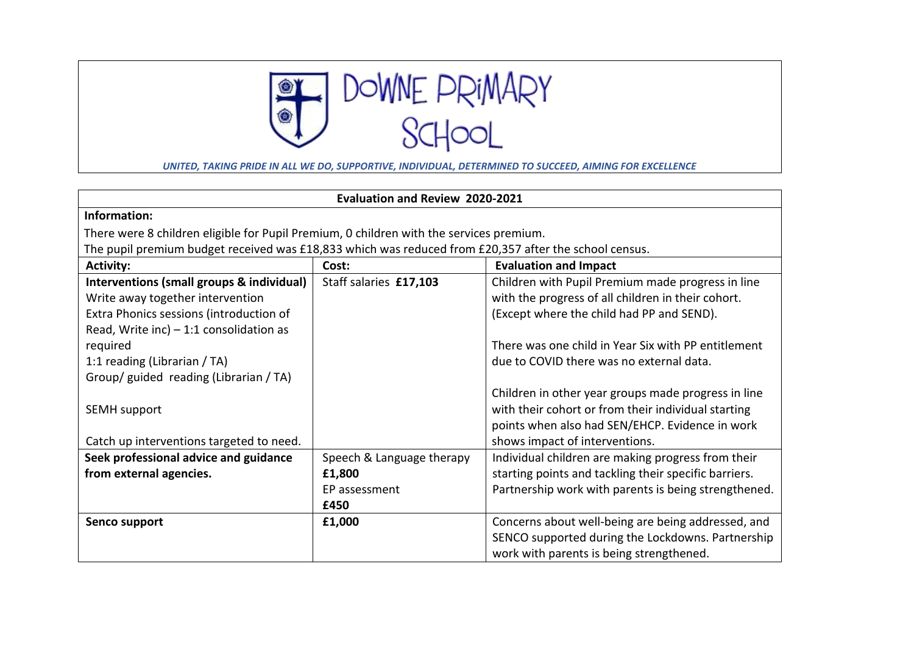

*UNITED, TAKING PRIDE IN ALL WE DO, SUPPORTIVE, INDIVIDUAL, DETERMINED TO SUCCEED, AIMING FOR EXCELLENCE*

| <b>Evaluation and Review 2020-2021</b>                                                                |                           |                                                       |  |
|-------------------------------------------------------------------------------------------------------|---------------------------|-------------------------------------------------------|--|
| Information:                                                                                          |                           |                                                       |  |
| There were 8 children eligible for Pupil Premium, 0 children with the services premium.               |                           |                                                       |  |
| The pupil premium budget received was £18,833 which was reduced from £20,357 after the school census. |                           |                                                       |  |
| <b>Activity:</b>                                                                                      | Cost:                     | <b>Evaluation and Impact</b>                          |  |
| Interventions (small groups & individual)                                                             | Staff salaries £17,103    | Children with Pupil Premium made progress in line     |  |
| Write away together intervention                                                                      |                           | with the progress of all children in their cohort.    |  |
| Extra Phonics sessions (introduction of                                                               |                           | (Except where the child had PP and SEND).             |  |
| Read, Write inc) $-1:1$ consolidation as                                                              |                           |                                                       |  |
| required                                                                                              |                           | There was one child in Year Six with PP entitlement   |  |
| 1:1 reading (Librarian / TA)                                                                          |                           | due to COVID there was no external data.              |  |
| Group/ guided reading (Librarian / TA)                                                                |                           |                                                       |  |
|                                                                                                       |                           | Children in other year groups made progress in line   |  |
| SEMH support                                                                                          |                           | with their cohort or from their individual starting   |  |
|                                                                                                       |                           | points when also had SEN/EHCP. Evidence in work       |  |
| Catch up interventions targeted to need.                                                              |                           | shows impact of interventions.                        |  |
| Seek professional advice and guidance                                                                 | Speech & Language therapy | Individual children are making progress from their    |  |
| from external agencies.                                                                               | £1,800                    | starting points and tackling their specific barriers. |  |
|                                                                                                       | EP assessment             | Partnership work with parents is being strengthened.  |  |
|                                                                                                       | £450                      |                                                       |  |
| Senco support                                                                                         | £1,000                    | Concerns about well-being are being addressed, and    |  |
|                                                                                                       |                           | SENCO supported during the Lockdowns. Partnership     |  |
|                                                                                                       |                           | work with parents is being strengthened.              |  |